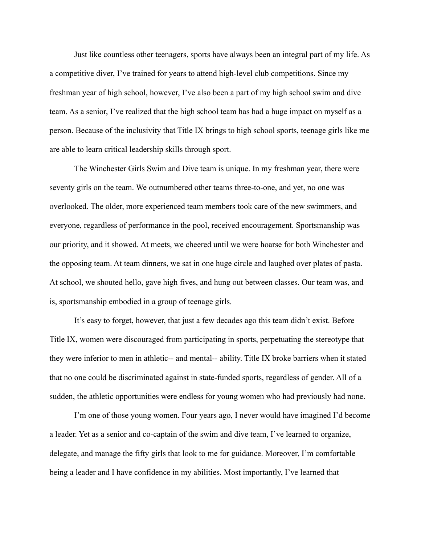Just like countless other teenagers, sports have always been an integral part of my life. As a competitive diver, I've trained for years to attend high-level club competitions. Since my freshman year of high school, however, I've also been a part of my high school swim and dive team. As a senior, I've realized that the high school team has had a huge impact on myself as a person. Because of the inclusivity that Title IX brings to high school sports, teenage girls like me are able to learn critical leadership skills through sport.

The Winchester Girls Swim and Dive team is unique. In my freshman year, there were seventy girls on the team. We outnumbered other teams three-to-one, and yet, no one was overlooked. The older, more experienced team members took care of the new swimmers, and everyone, regardless of performance in the pool, received encouragement. Sportsmanship was our priority, and it showed. At meets, we cheered until we were hoarse for both Winchester and the opposing team. At team dinners, we sat in one huge circle and laughed over plates of pasta. At school, we shouted hello, gave high fives, and hung out between classes. Our team was, and is, sportsmanship embodied in a group of teenage girls.

It's easy to forget, however, that just a few decades ago this team didn't exist. Before Title IX, women were discouraged from participating in sports, perpetuating the stereotype that they were inferior to men in athletic-- and mental-- ability. Title IX broke barriers when it stated that no one could be discriminated against in state-funded sports, regardless of gender. All of a sudden, the athletic opportunities were endless for young women who had previously had none.

I'm one of those young women. Four years ago, I never would have imagined I'd become a leader. Yet as a senior and co-captain of the swim and dive team, I've learned to organize, delegate, and manage the fifty girls that look to me for guidance. Moreover, I'm comfortable being a leader and I have confidence in my abilities. Most importantly, I've learned that